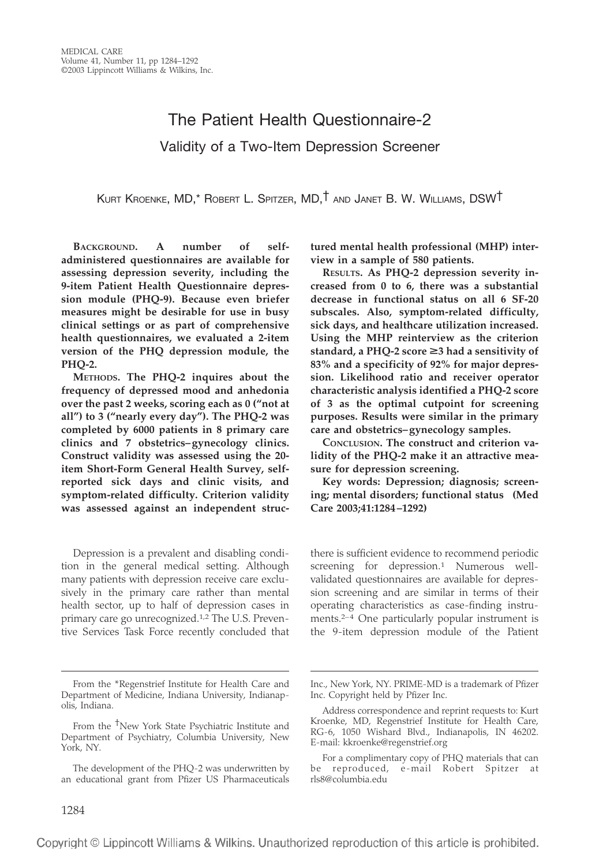# The Patient Health Questionnaire-2 Validity of a Two-Item Depression Screener

KURT KROENKE, MD,\* ROBERT L. SPITZER, MD,† AND JANET B. W. WILLIAMS, DSW†

**BACKGROUND. A number of selfadministered questionnaires are available for assessing depression severity, including the 9-item Patient Health Questionnaire depression module (PHQ-9). Because even briefer measures might be desirable for use in busy clinical settings or as part of comprehensive health questionnaires, we evaluated a 2-item version of the PHQ depression module, the PHQ-2.** 

**METHODS. The PHQ-2 inquires about the frequency of depressed mood and anhedonia over the past 2 weeks, scoring each as 0 ("not at all") to 3 ("nearly every day"). The PHQ-2 was completed by 6000 patients in 8 primary care clinics and 7 obstetrics–gynecology clinics. Construct validity was assessed using the 20 item Short-Form General Health Survey, selfreported sick days and clinic visits, and symptom-related difficulty. Criterion validity was assessed against an independent struc-**

Depression is a prevalent and disabling condition in the general medical setting. Although many patients with depression receive care exclusively in the primary care rather than mental health sector, up to half of depression cases in primary care go unrecognized.1,2 The U.S. Preventive Services Task Force recently concluded that **tured mental health professional (MHP) interview in a sample of 580 patients.** 

**RESULTS. As PHQ-2 depression severity increased from 0 to 6, there was a substantial decrease in functional status on all 6 SF-20 subscales. Also, symptom-related difficulty, sick days, and healthcare utilization increased. Using the MHP reinterview as the criterion**  standard, a PHQ-2 score ≥3 had a sensitivity of **83% and a specificity of 92% for major depression. Likelihood ratio and receiver operator characteristic analysis identified a PHQ-2 score of 3 as the optimal cutpoint for screening purposes. Results were similar in the primary care and obstetrics–gynecology samples.** 

**CONCLUSION. The construct and criterion validity of the PHQ-2 make it an attractive measure for depression screening.** 

**Key words: Depression; diagnosis; screening; mental disorders; functional status (Med Care 2003;41:1284–1292)** 

there is sufficient evidence to recommend periodic screening for depression.<sup>1</sup> Numerous wellvalidated questionnaires are available for depression screening and are similar in terms of their operating characteristics as case-finding instruments.2–4 One particularly popular instrument is the 9-item depression module of the Patient

From the \*Regenstrief Institute for Health Care and Department of Medicine, Indiana University, Indianapolis, Indiana.

From the <sup>†</sup>New York State Psychiatric Institute and Department of Psychiatry, Columbia University, New York, NY.

The development of the PHQ-2 was underwritten by an educational grant from Pfizer US Pharmaceuticals

Inc., New York, NY. PRIME-MD is a trademark of Pfizer Inc. Copyright held by Pfizer Inc.

Address correspondence and reprint requests to: Kurt Kroenke, MD, Regenstrief Institute for Health Care, RG-6, 1050 Wishard Blvd., Indianapolis, IN 46202. E-mail: kkroenke@regenstrief.org

For a complimentary copy of PHQ materials that can be reproduced, e-mail Robert Spitzer at rls8@columbia.edu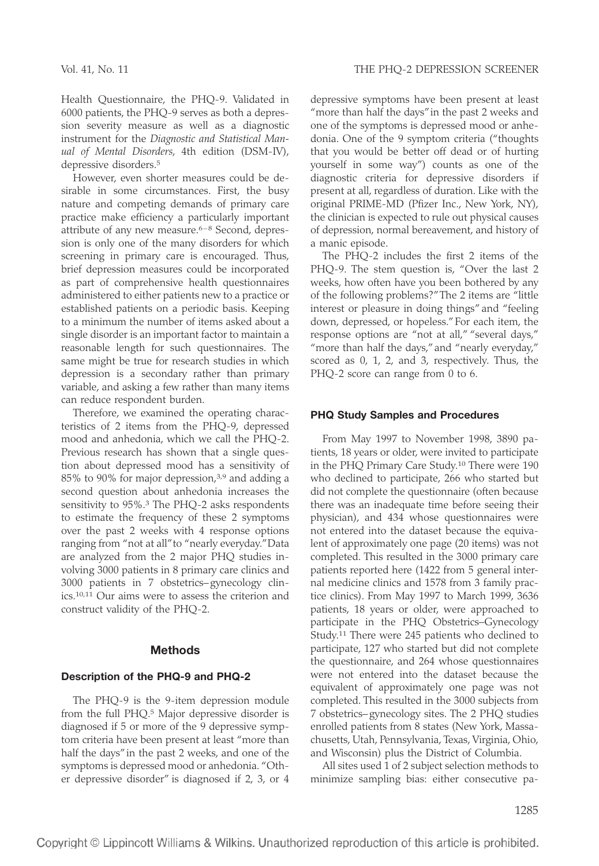Health Questionnaire, the PHQ-9. Validated in 6000 patients, the PHQ-9 serves as both a depression severity measure as well as a diagnostic instrument for the *Diagnostic and Statistical Manual of Mental Disorders*, 4th edition (DSM-IV), depressive disorders.5

However, even shorter measures could be desirable in some circumstances. First, the busy nature and competing demands of primary care practice make efficiency a particularly important attribute of any new measure.<sup>6-8</sup> Second, depression is only one of the many disorders for which screening in primary care is encouraged. Thus, brief depression measures could be incorporated as part of comprehensive health questionnaires administered to either patients new to a practice or established patients on a periodic basis. Keeping to a minimum the number of items asked about a single disorder is an important factor to maintain a reasonable length for such questionnaires. The same might be true for research studies in which depression is a secondary rather than primary variable, and asking a few rather than many items can reduce respondent burden.

Therefore, we examined the operating characteristics of 2 items from the PHQ-9, depressed mood and anhedonia, which we call the PHQ-2. Previous research has shown that a single question about depressed mood has a sensitivity of 85% to 90% for major depression,3,9 and adding a second question about anhedonia increases the sensitivity to 95%.3 The PHQ-2 asks respondents to estimate the frequency of these 2 symptoms over the past 2 weeks with 4 response options ranging from "not at all"to "nearly everyday."Data are analyzed from the 2 major PHQ studies involving 3000 patients in 8 primary care clinics and 3000 patients in 7 obstetrics–gynecology clinics.10,11 Our aims were to assess the criterion and construct validity of the PHQ-2.

# **Methods**

# **Description of the PHQ-9 and PHQ-2**

The PHQ-9 is the 9-item depression module from the full PHQ.<sup>5</sup> Major depressive disorder is diagnosed if 5 or more of the 9 depressive symptom criteria have been present at least "more than half the days"in the past 2 weeks, and one of the symptoms is depressed mood or anhedonia. "Other depressive disorder" is diagnosed if 2, 3, or 4

depressive symptoms have been present at least "more than half the days"in the past 2 weeks and one of the symptoms is depressed mood or anhedonia. One of the 9 symptom criteria ("thoughts that you would be better off dead or of hurting yourself in some way") counts as one of the diagnostic criteria for depressive disorders if present at all, regardless of duration. Like with the original PRIME-MD (Pfizer Inc., New York, NY), the clinician is expected to rule out physical causes of depression, normal bereavement, and history of a manic episode.

The PHQ-2 includes the first 2 items of the PHQ-9. The stem question is, "Over the last 2 weeks, how often have you been bothered by any of the following problems?"The 2 items are "little interest or pleasure in doing things" and "feeling down, depressed, or hopeless."For each item, the response options are "not at all," "several days," "more than half the days," and "nearly everyday," scored as 0, 1, 2, and 3, respectively. Thus, the PHQ-2 score can range from 0 to 6.

## **PHQ Study Samples and Procedures**

From May 1997 to November 1998, 3890 patients, 18 years or older, were invited to participate in the PHQ Primary Care Study.10 There were 190 who declined to participate, 266 who started but did not complete the questionnaire (often because there was an inadequate time before seeing their physician), and 434 whose questionnaires were not entered into the dataset because the equivalent of approximately one page (20 items) was not completed. This resulted in the 3000 primary care patients reported here (1422 from 5 general internal medicine clinics and 1578 from 3 family practice clinics). From May 1997 to March 1999, 3636 patients, 18 years or older, were approached to participate in the PHQ Obstetrics–Gynecology Study.11 There were 245 patients who declined to participate, 127 who started but did not complete the questionnaire, and 264 whose questionnaires were not entered into the dataset because the equivalent of approximately one page was not completed. This resulted in the 3000 subjects from 7 obstetrics–gynecology sites. The 2 PHQ studies enrolled patients from 8 states (New York, Massachusetts, Utah, Pennsylvania, Texas, Virginia, Ohio, and Wisconsin) plus the District of Columbia.

All sites used 1 of 2 subject selection methods to minimize sampling bias: either consecutive pa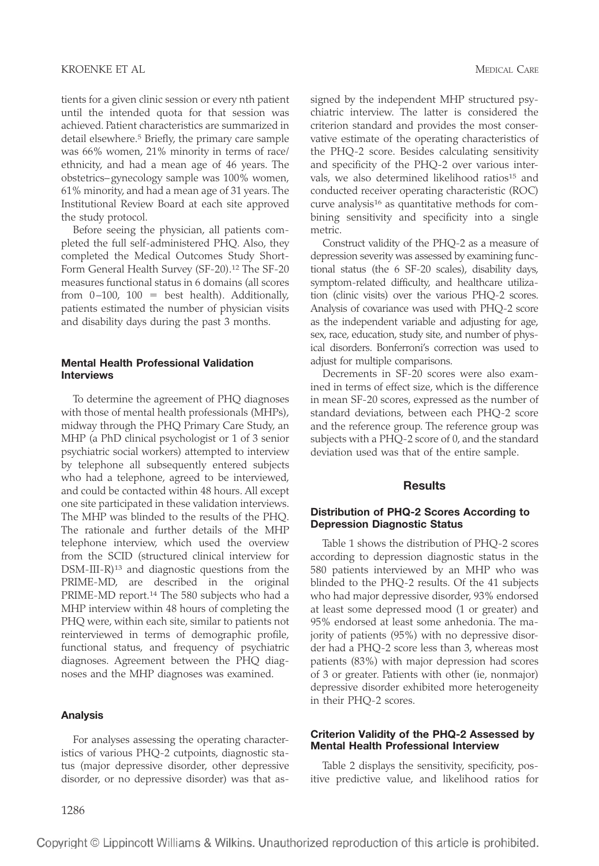tients for a given clinic session or every nth patient until the intended quota for that session was achieved. Patient characteristics are summarized in detail elsewhere.<sup>5</sup> Briefly, the primary care sample was 66% women, 21% minority in terms of race/ ethnicity, and had a mean age of 46 years. The obstetrics–gynecology sample was 100% women, 61% minority, and had a mean age of 31 years. The Institutional Review Board at each site approved the study protocol.

Before seeing the physician, all patients completed the full self-administered PHQ. Also, they completed the Medical Outcomes Study Short-Form General Health Survey (SF-20).12 The SF-20 measures functional status in 6 domains (all scores from  $0-100$ ,  $100 =$  best health). Additionally, patients estimated the number of physician visits and disability days during the past 3 months.

#### **Mental Health Professional Validation Interviews**

To determine the agreement of PHQ diagnoses with those of mental health professionals (MHPs), midway through the PHQ Primary Care Study, an MHP (a PhD clinical psychologist or 1 of 3 senior psychiatric social workers) attempted to interview by telephone all subsequently entered subjects who had a telephone, agreed to be interviewed, and could be contacted within 48 hours. All except one site participated in these validation interviews. The MHP was blinded to the results of the PHQ. The rationale and further details of the MHP telephone interview, which used the overview from the SCID (structured clinical interview for DSM-III-R)<sup>13</sup> and diagnostic questions from the PRIME-MD, are described in the original PRIME-MD report.14 The 580 subjects who had a MHP interview within 48 hours of completing the PHQ were, within each site, similar to patients not reinterviewed in terms of demographic profile, functional status, and frequency of psychiatric diagnoses. Agreement between the PHQ diagnoses and the MHP diagnoses was examined.

#### **Analysis**

For analyses assessing the operating characteristics of various PHQ-2 cutpoints, diagnostic status (major depressive disorder, other depressive disorder, or no depressive disorder) was that assigned by the independent MHP structured psychiatric interview. The latter is considered the criterion standard and provides the most conservative estimate of the operating characteristics of the PHQ-2 score. Besides calculating sensitivity and specificity of the PHQ-2 over various intervals, we also determined likelihood ratios<sup>15</sup> and conducted receiver operating characteristic (ROC) curve analysis<sup>16</sup> as quantitative methods for combining sensitivity and specificity into a single metric.

Construct validity of the PHQ-2 as a measure of depression severity was assessed by examining functional status (the 6 SF-20 scales), disability days, symptom-related difficulty, and healthcare utilization (clinic visits) over the various PHQ-2 scores. Analysis of covariance was used with PHQ-2 score as the independent variable and adjusting for age, sex, race, education, study site, and number of physical disorders. Bonferroni's correction was used to adjust for multiple comparisons.

Decrements in SF-20 scores were also examined in terms of effect size, which is the difference in mean SF-20 scores, expressed as the number of standard deviations, between each PHQ-2 score and the reference group. The reference group was subjects with a PHQ-2 score of 0, and the standard deviation used was that of the entire sample.

#### **Results**

#### **Distribution of PHQ-2 Scores According to Depression Diagnostic Status**

Table 1 shows the distribution of PHQ-2 scores according to depression diagnostic status in the 580 patients interviewed by an MHP who was blinded to the PHQ-2 results. Of the 41 subjects who had major depressive disorder, 93% endorsed at least some depressed mood (1 or greater) and 95% endorsed at least some anhedonia. The majority of patients (95%) with no depressive disorder had a PHQ-2 score less than 3, whereas most patients (83%) with major depression had scores of 3 or greater. Patients with other (ie, nonmajor) depressive disorder exhibited more heterogeneity in their PHQ-2 scores.

## **Criterion Validity of the PHQ-2 Assessed by Mental Health Professional Interview**

Table 2 displays the sensitivity, specificity, positive predictive value, and likelihood ratios for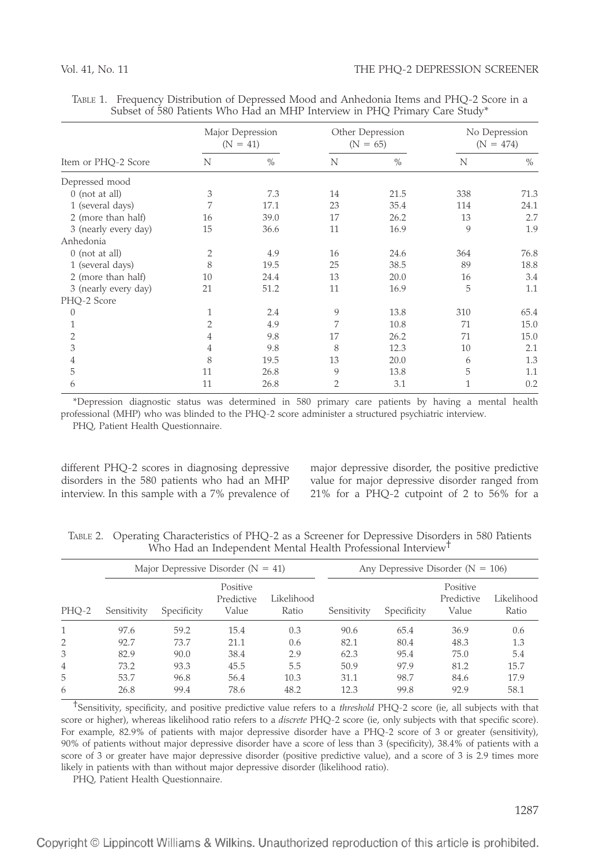|                      | Major Depression<br>$(N = 41)$ |               |                | Other Depression<br>$(N = 65)$ | No Depression<br>$(N = 474)$ |               |
|----------------------|--------------------------------|---------------|----------------|--------------------------------|------------------------------|---------------|
| Item or PHQ-2 Score  | N                              | $\frac{0}{0}$ | N              | $\frac{0}{0}$                  | N                            | $\frac{0}{0}$ |
| Depressed mood       |                                |               |                |                                |                              |               |
| $0$ (not at all)     | 3                              | 7.3           | 14             | 21.5                           | 338                          | 71.3          |
| 1 (several days)     | 7                              | 17.1          | 23             | 35.4                           | 114                          | 24.1          |
| 2 (more than half)   | 16                             | 39.0          | 17             | 26.2                           | 13                           | 2.7           |
| 3 (nearly every day) | 15                             | 36.6          | 11             | 16.9                           | 9                            | 1.9           |
| Anhedonia            |                                |               |                |                                |                              |               |
| $0$ (not at all)     | $\overline{2}$                 | 4.9           | 16             | 24.6                           | 364                          | 76.8          |
| 1 (several days)     | 8                              | 19.5          | 25             | 38.5                           | 89                           | 18.8          |
| 2 (more than half)   | 10                             | 24.4          | 13             | 20.0                           | 16                           | 3.4           |
| 3 (nearly every day) | 21                             | 51.2          | 11             | 16.9                           | 5                            | 1.1           |
| PHQ-2 Score          |                                |               |                |                                |                              |               |
| $\Omega$             | 1                              | 2.4           | 9              | 13.8                           | 310                          | 65.4          |
| 1                    | $\overline{2}$                 | 4.9           | 7              | 10.8                           | 71                           | 15.0          |
| 2                    | 4                              | 9.8           | 17             | 26.2                           | 71                           | 15.0          |
| 3                    | 4                              | 9.8           | 8              | 12.3                           | 10                           | 2.1           |
| 4                    | 8                              | 19.5          | 13             | 20.0                           | 6                            | 1.3           |
| 5                    | 11                             | 26.8          | 9              | 13.8                           | 5                            | 1.1           |
| 6                    | 11                             | 26.8          | $\overline{2}$ | 3.1                            | $\mathbf{1}$                 | 0.2           |

| TABLE 1. Frequency Distribution of Depressed Mood and Anhedonia Items and PHQ-2 Score in a |  |  |  |  |
|--------------------------------------------------------------------------------------------|--|--|--|--|
| Subset of 580 Patients Who Had an MHP Interview in PHQ Primary Care Study*                 |  |  |  |  |

\*Depression diagnostic status was determined in 580 primary care patients by having a mental health professional (MHP) who was blinded to the PHQ-2 score administer a structured psychiatric interview.

PHQ, Patient Health Questionnaire.

disorders in the 580 patients who had an MHP value for major depressive disorder ranged from interview. In this sample with a 7% prevalence of 21% for a PHQ-2 cutpoint of 2 to 56% for a

different PHQ-2 scores in diagnosing depressive major depressive disorder, the positive predictive

TABLE 2. Operating Characteristics of PHQ-2 as a Screener for Depressive Disorders in 580 Patients Who Had an Independent Mental Health Professional Interview<sup>T</sup>

|       |             | Major Depressive Disorder ( $N = 41$ ) |                                 |                     | Any Depressive Disorder ( $N = 106$ ) |             |                                 |                     |  |
|-------|-------------|----------------------------------------|---------------------------------|---------------------|---------------------------------------|-------------|---------------------------------|---------------------|--|
| PHO-2 | Sensitivity | Specificity                            | Positive<br>Predictive<br>Value | Likelihood<br>Ratio | Sensitivity                           | Specificity | Positive<br>Predictive<br>Value | Likelihood<br>Ratio |  |
|       | 97.6        | 59.2                                   | 15.4                            | 0.3                 | 90.6                                  | 65.4        | 36.9                            | 0.6                 |  |
| 2     | 92.7        | 73.7                                   | 21.1                            | 0.6                 | 82.1                                  | 80.4        | 48.3                            | 1.3                 |  |
| 3     | 82.9        | 90.0                                   | 38.4                            | 2.9                 | 62.3                                  | 95.4        | 75.0                            | 5.4                 |  |
| 4     | 73.2        | 93.3                                   | 45.5                            | 5.5                 | 50.9                                  | 97.9        | 81.2                            | 15.7                |  |
| 5     | 53.7        | 96.8                                   | 56.4                            | 10.3                | 31.1                                  | 98.7        | 84.6                            | 17.9                |  |
| 6     | 26.8        | 99.4                                   | 78.6                            | 48.2                | 12.3                                  | 99.8        | 92.9                            | 58.1                |  |

†Sensitivity, specificity, and positive predictive value refers to a *threshold* PHQ-2 score (ie, all subjects with that score or higher), whereas likelihood ratio refers to a *discrete* PHQ-2 score (ie, only subjects with that specific score). For example, 82.9% of patients with major depressive disorder have a PHQ-2 score of 3 or greater (sensitivity), 90% of patients without major depressive disorder have a score of less than 3 (specificity), 38.4% of patients with a score of 3 or greater have major depressive disorder (positive predictive value), and a score of 3 is 2.9 times more likely in patients with than without major depressive disorder (likelihood ratio).

PHQ, Patient Health Questionnaire.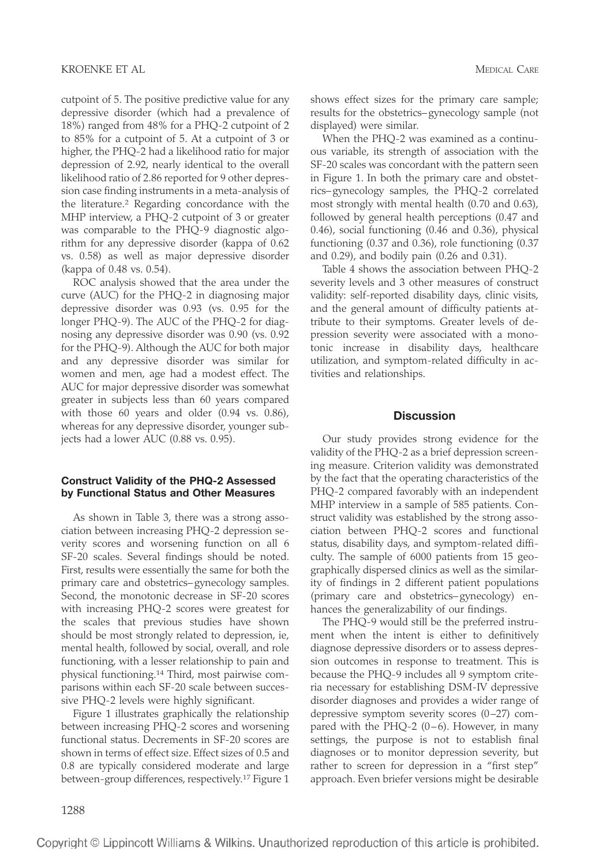cutpoint of 5. The positive predictive value for any depressive disorder (which had a prevalence of 18%) ranged from 48% for a PHQ-2 cutpoint of 2 to 85% for a cutpoint of 5. At a cutpoint of 3 or higher, the PHQ-2 had a likelihood ratio for major depression of 2.92, nearly identical to the overall likelihood ratio of 2.86 reported for 9 other depression case finding instruments in a meta-analysis of the literature.2 Regarding concordance with the MHP interview, a PHQ-2 cutpoint of 3 or greater was comparable to the PHQ-9 diagnostic algorithm for any depressive disorder (kappa of 0.62 vs. 0.58) as well as major depressive disorder (kappa of 0.48 vs. 0.54).

ROC analysis showed that the area under the curve (AUC) for the PHQ-2 in diagnosing major depressive disorder was 0.93 (vs. 0.95 for the longer PHQ-9). The AUC of the PHQ-2 for diagnosing any depressive disorder was 0.90 (vs. 0.92 for the PHQ-9). Although the AUC for both major and any depressive disorder was similar for women and men, age had a modest effect. The AUC for major depressive disorder was somewhat greater in subjects less than 60 years compared with those 60 years and older (0.94 vs. 0.86), whereas for any depressive disorder, younger subjects had a lower AUC (0.88 vs. 0.95).

# **Construct Validity of the PHQ-2 Assessed by Functional Status and Other Measures**

As shown in Table 3, there was a strong association between increasing PHQ-2 depression severity scores and worsening function on all 6 SF-20 scales. Several findings should be noted. First, results were essentially the same for both the primary care and obstetrics–gynecology samples. Second, the monotonic decrease in SF-20 scores with increasing PHQ-2 scores were greatest for the scales that previous studies have shown should be most strongly related to depression, ie, mental health, followed by social, overall, and role functioning, with a lesser relationship to pain and physical functioning.14 Third, most pairwise comparisons within each SF-20 scale between successive PHQ-2 levels were highly significant.

Figure 1 illustrates graphically the relationship between increasing PHQ-2 scores and worsening functional status. Decrements in SF-20 scores are shown in terms of effect size. Effect sizes of 0.5 and 0.8 are typically considered moderate and large between-group differences, respectively.17 Figure 1 shows effect sizes for the primary care sample; results for the obstetrics–gynecology sample (not displayed) were similar.

When the PHQ-2 was examined as a continuous variable, its strength of association with the SF-20 scales was concordant with the pattern seen in Figure 1. In both the primary care and obstetrics–gynecology samples, the PHQ-2 correlated most strongly with mental health (0.70 and 0.63), followed by general health perceptions (0.47 and 0.46), social functioning (0.46 and 0.36), physical functioning (0.37 and 0.36), role functioning (0.37 and 0.29), and bodily pain (0.26 and 0.31).

Table 4 shows the association between PHQ-2 severity levels and 3 other measures of construct validity: self-reported disability days, clinic visits, and the general amount of difficulty patients attribute to their symptoms. Greater levels of depression severity were associated with a monotonic increase in disability days, healthcare utilization, and symptom-related difficulty in activities and relationships.

# **Discussion**

Our study provides strong evidence for the validity of the PHQ-2 as a brief depression screening measure. Criterion validity was demonstrated by the fact that the operating characteristics of the PHQ-2 compared favorably with an independent MHP interview in a sample of 585 patients. Construct validity was established by the strong association between PHQ-2 scores and functional status, disability days, and symptom-related difficulty. The sample of 6000 patients from 15 geographically dispersed clinics as well as the similarity of findings in 2 different patient populations (primary care and obstetrics–gynecology) enhances the generalizability of our findings.

The PHQ-9 would still be the preferred instrument when the intent is either to definitively diagnose depressive disorders or to assess depression outcomes in response to treatment. This is because the PHQ-9 includes all 9 symptom criteria necessary for establishing DSM-IV depressive disorder diagnoses and provides a wider range of depressive symptom severity scores  $(0-27)$  compared with the PHQ-2  $(0-6)$ . However, in many settings, the purpose is not to establish final diagnoses or to monitor depression severity, but rather to screen for depression in a "first step" approach. Even briefer versions might be desirable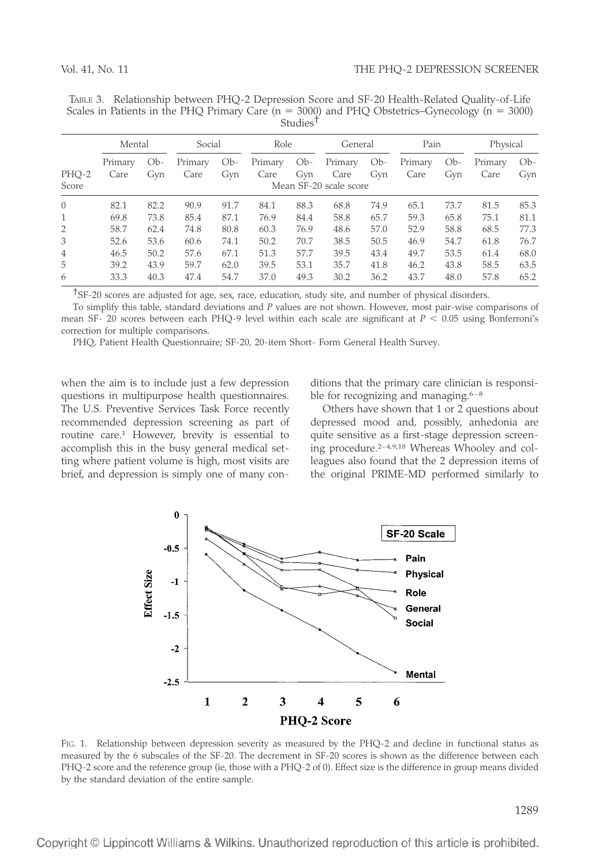| TABLE 3. Relationship between PHQ-2 Depression Score and SF-20 Health-Related Quality-of-Life          |        |                      |         |      |          |
|--------------------------------------------------------------------------------------------------------|--------|----------------------|---------|------|----------|
| Scales in Patients in the PHQ Primary Care ( $n = 3000$ ) and PHQ Obstetrics-Gynecology ( $n = 3000$ ) |        | Studies <sup>1</sup> |         |      |          |
|                                                                                                        |        |                      |         |      |          |
| Mental                                                                                                 | Social | Role                 | General | Pain | Physical |

|                | Mental          |              | Social                                                       |       | Role    |       | General            |       | Pain    |       | Physical        |              |
|----------------|-----------------|--------------|--------------------------------------------------------------|-------|---------|-------|--------------------|-------|---------|-------|-----------------|--------------|
| PHQ-2          | Primary<br>Care | $Ob-$<br>Gyn | Primary                                                      | $Ob-$ | Primary | $Ob-$ | Primary            | $Ob-$ | Primary | $Ob-$ | Primary<br>Care | $Ob-$<br>Gyn |
| Score          |                 |              | Care<br>Gyn<br>Gyn<br>Care<br>Care<br>Mean SF-20 scale score |       |         |       | Gyn<br>Care<br>Gyn |       |         |       |                 |              |
| $\Omega$       | 82.1            | 82.2         | 90.9                                                         | 91.7  | 84.1    | 88.3  | 68.8               | 74.9  | 65.1    | 73.7  | 81.5            | 85.3         |
| 1              | 69.8            | 73.8         | 85.4                                                         | 87.1  | 76.9    | 84.4  | 58.8               | 65.7  | 59.3    | 65.8  | 75.1            | 81.1         |
| $\overline{2}$ | 58.7            | 62.4         | 74.8                                                         | 80.8  | 60.3    | 76.9  | 48.6               | 57.0  | 52.9    | 58.8  | 68.5            | 77.3         |
| 3              | 52.6            | 53.6         | 60.6                                                         | 74.1  | 50.2    | 70.7  | 38.5               | 50.5  | 46.9    | 54.7  | 61.8            | 76.7         |
| 4              | 46.5            | 50.2         | 57.6                                                         | 67.1  | 51.3    | 57.7  | 39.5               | 43.4  | 49.7    | 53.5  | 61.4            | 68.0         |
| 5              | 39.2            | 43.9         | 59.7                                                         | 62.0  | 39.5    | 53.1  | 35.7               | 41.8  | 46.2    | 43.8  | 58.5            | 63.5         |
| 6              | 33.3            | 40.3         | 47.4                                                         | 54.7  | 37.0    | 49.3  | 30.2               | 36.2  | 43.7    | 48.0  | 57.8            | 65.2         |

†SF-20 scores are adjusted for age, sex, race, education, study site, and number of physical disorders.

To simplify this table, standard deviations and *P* values are not shown. However, most pair-wise comparisons of mean SF- 20 scores between each PHQ-9 level within each scale are significant at *P* < 0.05 using Bonferroni's correction for multiple comparisons.

PHQ, Patient Health Questionnaire; SF-20, 20-item Short- Form General Health Survey.

when the aim is to include just a few depression questions in multipurpose health questionnaires. The U.S. Preventive Services Task Force recently recommended depression screening as part of routine care.1 However, brevity is essential to accomplish this in the busy general medical setting where patient volume is high, most visits are brief, and depression is simply one of many conditions that the primary care clinician is responsible for recognizing and managing. $6-8$ 

Others have shown that 1 or 2 questions about depressed mood and, possibly, anhedonia are quite sensitive as a first-stage depression screening procedure.<sup>2-4,9,18</sup> Whereas Whooley and colleagues also found that the 2 depression items of the original PRIME-MD performed similarly to



FIG. 1. Relationship between depression severity as measured by the PHQ-2 and decline in functional status as measured by the 6 subscales of the SF-20. The decrement in SF-20 scores is shown as the difference between each PHQ-2 score and the reference group (ie, those with a PHQ-2 of 0). Effect size is the difference in group means divided by the standard deviation of the entire sample.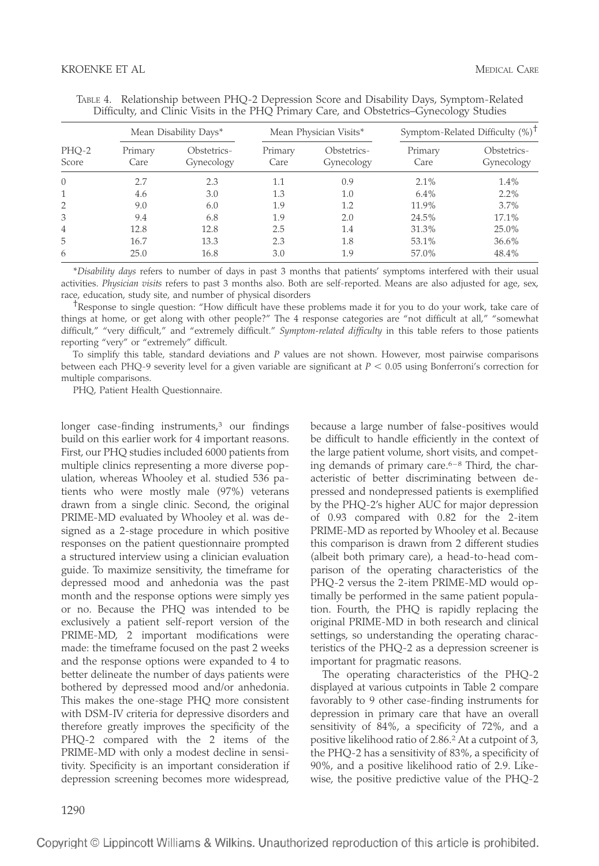|                |                 | Mean Disability Days*     |                 | Mean Physician Visits*    | Symptom-Related Difficulty $(\%)^T$ |                           |  |
|----------------|-----------------|---------------------------|-----------------|---------------------------|-------------------------------------|---------------------------|--|
| PHQ-2<br>Score | Primary<br>Care | Obstetrics-<br>Gynecology | Primary<br>Care | Obstetrics-<br>Gynecology | Primary<br>Care                     | Obstetrics-<br>Gynecology |  |
| $\Omega$       | 2.7             | 2.3                       | 1.1             | 0.9                       | 2.1%                                | 1.4%                      |  |
|                | 4.6             | 3.0                       | 1.3             | 1.0                       | 6.4%                                | $2.2\%$                   |  |
| 2              | 9.0             | 6.0                       | 1.9             | 1.2                       | 11.9%                               | 3.7%                      |  |
| 3              | 9.4             | 6.8                       | 1.9             | 2.0                       | 24.5%                               | 17.1%                     |  |
| $\overline{4}$ | 12.8            | 12.8                      | 2.5             | 1.4                       | 31.3%                               | 25.0%                     |  |
| 5              | 16.7            | 13.3                      | 2.3             | 1.8                       | 53.1%                               | 36.6%                     |  |
| 6              | 25.0            | 16.8                      | 3.0             | 1.9                       | 57.0%                               | 48.4%                     |  |

|  | TABLE 4. Relationship between PHQ-2 Depression Score and Disability Days, Symptom-Related |  |  |
|--|-------------------------------------------------------------------------------------------|--|--|
|  | Difficulty, and Clinic Visits in the PHQ Primary Care, and Obstetrics–Gynecology Studies  |  |  |

\**Disability days* refers to number of days in past 3 months that patients' symptoms interfered with their usual activities. *Physician visits* refers to past 3 months also. Both are self-reported. Means are also adjusted for age, sex, race, education, study site, and number of physical disorders <br><sup>†</sup>Response to single question: "How difficult have these problems made it for you to do your work, take care of

things at home, or get along with other people?" The 4 response categories are "not difficult at all," "somewhat difficult," "very difficult," and "extremely difficult." *Symptom-related difficulty* in this table refers to those patients reporting "very" or "extremely" difficult.

To simplify this table, standard deviations and *P* values are not shown. However, most pairwise comparisons between each PHQ-9 severity level for a given variable are significant at *P* < 0.05 using Bonferroni's correction for multiple comparisons.

PHQ, Patient Health Questionnaire.

longer case-finding instruments,<sup>3</sup> our findings build on this earlier work for 4 important reasons. First, our PHQ studies included 6000 patients from multiple clinics representing a more diverse population, whereas Whooley et al. studied 536 patients who were mostly male (97%) veterans drawn from a single clinic. Second, the original PRIME-MD evaluated by Whooley et al. was designed as a 2-stage procedure in which positive responses on the patient questionnaire prompted a structured interview using a clinician evaluation guide. To maximize sensitivity, the timeframe for depressed mood and anhedonia was the past month and the response options were simply yes or no. Because the PHQ was intended to be exclusively a patient self-report version of the PRIME-MD, 2 important modifications were made: the timeframe focused on the past 2 weeks and the response options were expanded to 4 to better delineate the number of days patients were bothered by depressed mood and/or anhedonia. This makes the one-stage PHQ more consistent with DSM-IV criteria for depressive disorders and therefore greatly improves the specificity of the PHQ-2 compared with the 2 items of the PRIME-MD with only a modest decline in sensitivity. Specificity is an important consideration if depression screening becomes more widespread,

because a large number of false-positives would be difficult to handle efficiently in the context of the large patient volume, short visits, and compet ing demands of primary care. $6-8$  Third, the characteristic of better discriminating between depressed and nondepressed patients is exemplified by the PHQ-2's higher AUC for major depression of 0.93 compared with 0.82 for the 2-item PRIME-MD as reported by Whooley et al. Because this comparison is drawn from 2 different studies (albeit both primary care), a head-to-head comparison of the operating characteristics of the PHQ-2 versus the 2-item PRIME-MD would optimally be performed in the same patient population. Fourth, the PHQ is rapidly replacing the original PRIME-MD in both research and clinical settings, so understanding the operating characteristics of the PHQ-2 as a depression screener is important for pragmatic reasons.

The operating characteristics of the PHQ-2 displayed at various cutpoints in Table 2 compare favorably to 9 other case-finding instruments for depression in primary care that have an overall sensitivity of 84%, a specificity of 72%, and a positive likelihood ratio of 2.86.2 At a cutpoint of 3, the PHQ-2 has a sensitivity of 83%, a specificity of 90%, and a positive likelihood ratio of 2.9. Likewise, the positive predictive value of the PHQ-2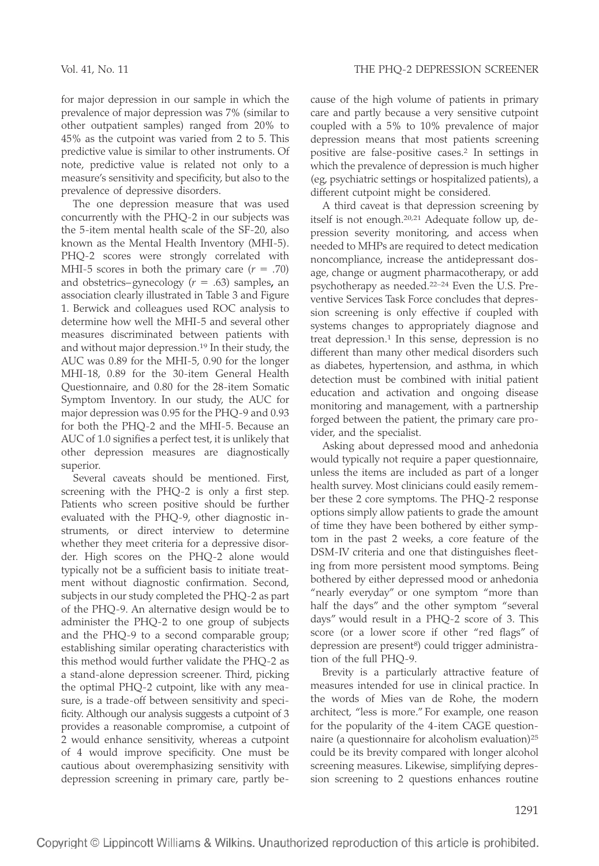for major depression in our sample in which the prevalence of major depression was 7% (similar to other outpatient samples) ranged from 20% to 45% as the cutpoint was varied from 2 to 5. This predictive value is similar to other instruments. Of note, predictive value is related not only to a measure's sensitivity and specificity, but also to the prevalence of depressive disorders.

The one depression measure that was used concurrently with the PHQ-2 in our subjects was the 5-item mental health scale of the SF-20, also known as the Mental Health Inventory (MHI-5). PHQ-2 scores were strongly correlated with MHI-5 scores in both the primary care  $(r = .70)$ and obstetrics–gynecology (*r* = .63) samples**,** an association clearly illustrated in Table 3 and Figure 1. Berwick and colleagues used ROC analysis to determine how well the MHI-5 and several other measures discriminated between patients with and without major depression.19 In their study, the AUC was 0.89 for the MHI-5, 0.90 for the longer MHI-18, 0.89 for the 30-item General Health Questionnaire, and 0.80 for the 28-item Somatic Symptom Inventory. In our study, the AUC for major depression was 0.95 for the PHQ-9 and 0.93 for both the PHQ-2 and the MHI-5. Because an AUC of 1.0 signifies a perfect test, it is unlikely that other depression measures are diagnostically superior.

Several caveats should be mentioned. First, screening with the PHQ-2 is only a first step. Patients who screen positive should be further evaluated with the PHQ-9, other diagnostic instruments, or direct interview to determine whether they meet criteria for a depressive disorder. High scores on the PHQ-2 alone would typically not be a sufficient basis to initiate treatment without diagnostic confirmation. Second, subjects in our study completed the PHQ-2 as part of the PHQ-9. An alternative design would be to administer the PHQ-2 to one group of subjects and the PHQ-9 to a second comparable group; establishing similar operating characteristics with this method would further validate the PHQ-2 as a stand-alone depression screener. Third, picking the optimal PHQ-2 cutpoint, like with any measure, is a trade-off between sensitivity and specificity. Although our analysis suggests a cutpoint of 3 provides a reasonable compromise, a cutpoint of 2 would enhance sensitivity, whereas a cutpoint of 4 would improve specificity. One must be cautious about overemphasizing sensitivity with depression screening in primary care, partly because of the high volume of patients in primary care and partly because a very sensitive cutpoint coupled with a 5% to 10% prevalence of major depression means that most patients screening positive are false-positive cases.2 In settings in which the prevalence of depression is much higher (eg, psychiatric settings or hospitalized patients), a different cutpoint might be considered.

A third caveat is that depression screening by itself is not enough.20,21 Adequate follow up, depression severity monitoring, and access when needed to MHPs are required to detect medication noncompliance, increase the antidepressant dosage, change or augment pharmacotherapy, or add psychotherapy as needed.22–24 Even the U.S. Preventive Services Task Force concludes that depression screening is only effective if coupled with systems changes to appropriately diagnose and treat depression.<sup>1</sup> In this sense, depression is no different than many other medical disorders such as diabetes, hypertension, and asthma, in which detection must be combined with initial patient education and activation and ongoing disease monitoring and management, with a partnership forged between the patient, the primary care provider, and the specialist.

Asking about depressed mood and anhedonia would typically not require a paper questionnaire, unless the items are included as part of a longer health survey. Most clinicians could easily remember these 2 core symptoms. The PHQ-2 response options simply allow patients to grade the amount of time they have been bothered by either symptom in the past 2 weeks, a core feature of the DSM-IV criteria and one that distinguishes fleeting from more persistent mood symptoms. Being bothered by either depressed mood or anhedonia "nearly everyday" or one symptom "more than half the days" and the other symptom "several days" would result in a PHQ-2 score of 3. This score (or a lower score if other "red flags" of depression are present<sup>8</sup>) could trigger administration of the full PHQ-9.

Brevity is a particularly attractive feature of measures intended for use in clinical practice. In the words of Mies van de Rohe, the modern architect, "less is more." For example, one reason for the popularity of the 4-item CAGE questionnaire (a questionnaire for alcoholism evaluation)25 could be its brevity compared with longer alcohol screening measures. Likewise, simplifying depression screening to 2 questions enhances routine